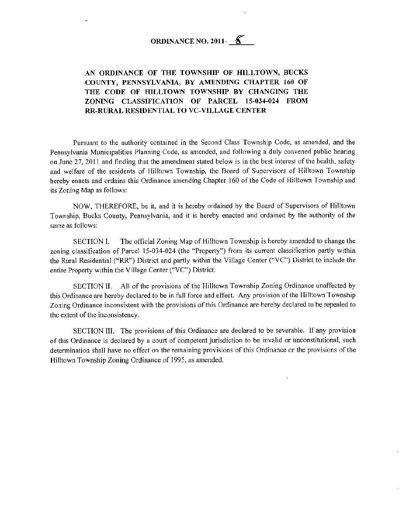## **ORDINANCE NO. 2011-**

## **AN ORDINANCE OF THE TOWNSHIP OF HILLTOWN, BUCKS COUNTY, PENNSYLVANIA, BY AMENDING CHAPTER 160 OF THE CODE OF HILLTOWN TOWNSHIP BY CHANGING THE ZONING CLASSIFICATION OF PARCEL 15-034-024 FROM RR-RURAL RESIDENTIAL TO VC-VILLAGE CENTER**

Pursuant to the authority contained in the Second Class Township Code, as amended, and the Pennsylvania Municipalities Planning Code, as amended, and following a duly convened public hearing on June 27, 2011 and finding that the amendment stated below is in the best interest of the health, safety and welfare of the residents of Hilltown Township, the Board of Supervisors of Hilltown Township hereby enacts and ordains **this** Ordinance amending Chapter 160 of the Code of Hilltown Township and its Zoning Map as follows:

NOW, THEREFORE, be it, and it is hereby ordained by the Board of Supervisors of Hilltown Township, Bucks County, Pennsylvania, and it is hereby enacted and ordained by the authority of the same as follows:

SECTION I. The official Zoning Map of Hilltown Township is hereby amended to change the zoning classification of Parcel 15-034-024 (the "Property") from its current classification partly within the Rural Residential ("RR") District and partly within the Village Center ("VC") District to include the entire Property within the Village Center ("VC") District.

SECTlON IJ. All of the provisions of the Hilltown Township Zoning Ordinance unaffected by this Ordinance are hereby declared to be in full force and effect. Any provision of the Hilltown Township Zoning Ordinance inconsistent with the provisions of this Ordinance are hereby declared to be repealed to the extent of the inconsistency.

SECTION III. The provisions of this Ordinance are declared to be severable. If any provision of this Ordinance is declared by a court of competent jurisdiction to be invalid or unconstitutional, such detennination shall have no effect on the remaining provisions of this Ordinance or the provisions of the Hilltown Township Zoning Ordinance of 1995, as amended.